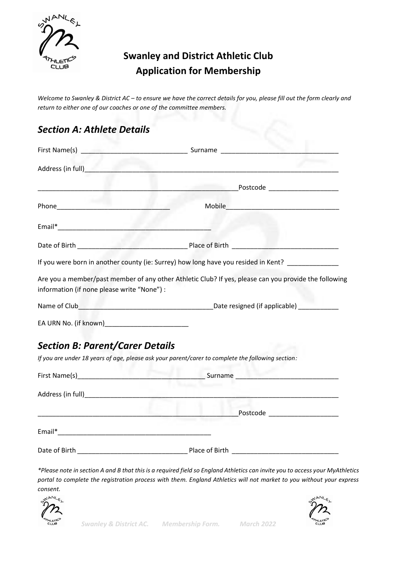

# **Swanley and District Athletic Club Application for Membership**

*Welcome to Swanley & District AC – to ensure we have the correct details for you, please fill out the form clearly and return to either one of our coaches or one of the committee members.*

# *Section A: Athlete Details*

|                                             | If you were born in another county (ie: Surrey) how long have you resided in Kent? ______________     |
|---------------------------------------------|-------------------------------------------------------------------------------------------------------|
| information (if none please write "None") : | Are you a member/past member of any other Athletic Club? If yes, please can you provide the following |
|                                             |                                                                                                       |
|                                             |                                                                                                       |
| <b>Section B: Parent/Carer Details</b>      |                                                                                                       |
|                                             | If you are under 18 years of age, please ask your parent/carer to complete the following section:     |
|                                             |                                                                                                       |
|                                             |                                                                                                       |
|                                             | Postcode _____________________                                                                        |
|                                             |                                                                                                       |
| Date of Birth                               | Place of Birth                                                                                        |

*\*Please note in section A and B that this is a required field so England Athletics can invite you to access your MyAthletics portal to complete the registration process with them. England Athletics will not market to you without your express consent.*



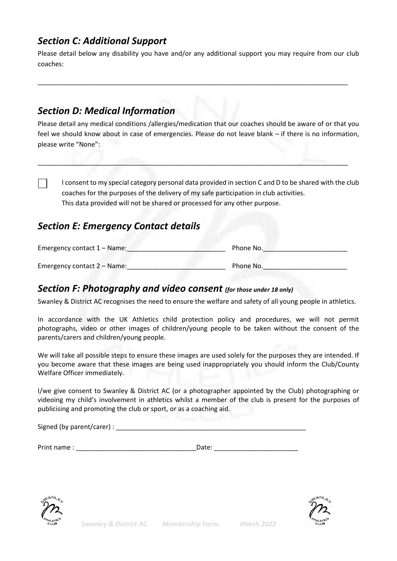## *Section C: Additional Support*

Please detail below any disability you have and/or any additional support you may require from our club coaches:

\_\_\_\_\_\_\_\_\_\_\_\_\_\_\_\_\_\_\_\_\_\_\_\_\_\_\_\_\_\_\_\_\_\_\_\_\_\_\_\_\_\_\_\_\_\_\_\_\_\_\_\_\_\_\_\_\_\_\_\_\_\_\_\_\_\_\_\_\_\_\_\_\_\_\_\_\_\_\_\_\_\_\_\_\_

## *Section D: Medical Information*

Please detail any medical conditions /allergies/medication that our coaches should be aware of or that you feel we should know about in case of emergencies. Please do not leave blank – if there is no information, please write "None":

\_\_\_\_\_\_\_\_\_\_\_\_\_\_\_\_\_\_\_\_\_\_\_\_\_\_\_\_\_\_\_\_\_\_\_\_\_\_\_\_\_\_\_\_\_\_\_\_\_\_\_\_\_\_\_\_\_\_\_\_\_\_\_\_\_\_\_\_\_\_\_\_\_\_\_\_\_\_\_\_\_\_\_\_\_

I consent to my special category personal data provided in section C and D to be shared with the club coaches for the purposes of the delivery of my safe participation in club activities. This data provided will not be shared or processed for any other purpose.

### *Section E: Emergency Contact details*

| Emergency contact 1 – Name: | Phone No. |
|-----------------------------|-----------|
| Emergency contact 2 – Name: | Phone No. |

### *Section F: Photography and video consent (for those under 18 only)*

Swanley & District AC recognises the need to ensure the welfare and safety of all young people in athletics.

In accordance with the UK Athletics child protection policy and procedures, we will not permit photographs, video or other images of children/young people to be taken without the consent of the parents/carers and children/young people.

We will take all possible steps to ensure these images are used solely for the purposes they are intended. If you become aware that these images are being used inappropriately you should inform the Club/County Welfare Officer immediately.

I/we give consent to Swanley & District AC (or a photographer appointed by the Club) photographing or videoing my child's involvement in athletics whilst a member of the club is present for the purposes of publicising and promoting the club or sport, or as a coaching aid.

| Signed (by parent/carer) : |  |  |
|----------------------------|--|--|
|                            |  |  |

Print name : \_\_\_\_\_\_\_\_\_\_\_\_\_\_\_\_\_\_\_\_\_\_\_\_\_\_\_\_\_\_\_\_\_Date: \_\_\_\_\_\_\_\_\_\_\_\_\_\_\_\_\_\_\_\_\_\_\_



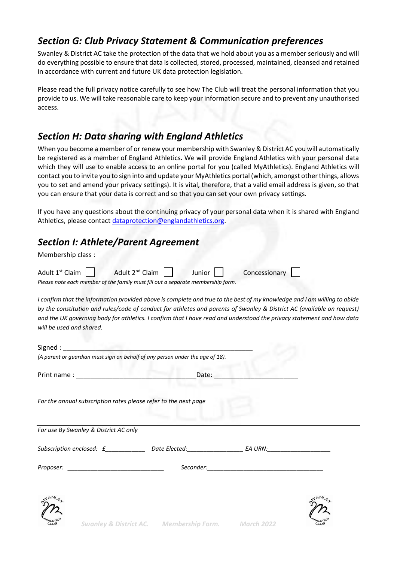### *Section G: Club Privacy Statement & Communication preferences*

Swanley & District AC take the protection of the data that we hold about you as a member seriously and will do everything possible to ensure that data is collected, stored, processed, maintained, cleansed and retained in accordance with current and future UK data protection legislation.

Please read the full privacy notice carefully to see how The Club will treat the personal information that you provide to us. We will take reasonable care to keep your information secure and to prevent any unauthorised access.

### *Section H: Data sharing with England Athletics*

When you become a member of or renew your membership with Swanley & District AC you will automatically be registered as a member of England Athletics. We will provide England Athletics with your personal data which they will use to enable access to an online portal for you (called MyAthletics). England Athletics will contact you to invite you to sign into and update your MyAthletics portal (which, amongst other things, allows you to set and amend your privacy settings). It is vital, therefore, that a valid email address is given, so that you can ensure that your data is correct and so that you can set your own privacy settings.

If you have any questions about the continuing privacy of your personal data when it is shared with England Athletics, please contact [dataprotection@englandathletics.org.](mailto:dataprotection@englandathletics.org)

## *Section I: Athlete/Parent Agreement*

Membership class :

|                                                                                 | Adult $1^{st}$ Claim $\Box$ Adult $2^{nd}$ Claim $\Box$ | Junior | Concessionary |
|---------------------------------------------------------------------------------|---------------------------------------------------------|--------|---------------|
| Please note each member of the family must fill out a separate membership form. |                                                         |        |               |

*I confirm that the information provided above is complete and true to the best of my knowledge and I am willing to abide by the constitution and rules/code of conduct for athletes and parents of Swanley & District AC (available on request) and the UK governing body for athletics. I confirm that I have read and understood the privacy statement and how data will be used and shared.*

| (A parent or guardian must sign on behalf of any person under the age of 18).                                 |       |  |
|---------------------------------------------------------------------------------------------------------------|-------|--|
|                                                                                                               | Date: |  |
| For the annual subscription rates please refer to the next page                                               |       |  |
| For use By Swanley & District AC only                                                                         |       |  |
| Subscription enclosed: £__________________Date Elected:__________________________ EA URN:____________________ |       |  |
| Proposer: ________________________________                                                                    |       |  |
|                                                                                                               |       |  |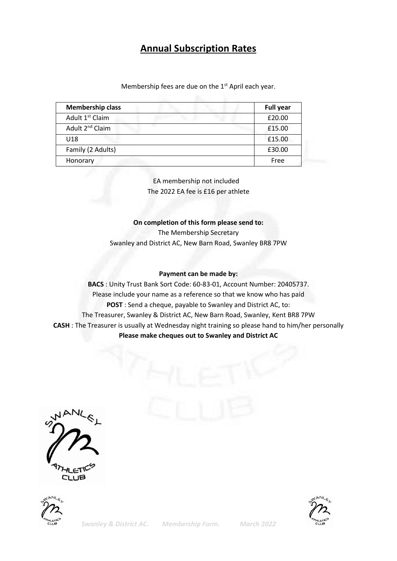### **Annual Subscription Rates**

Membership fees are due on the 1<sup>st</sup> April each year.

| <b>Membership class</b>     | <b>Full year</b> |
|-----------------------------|------------------|
| Adult 1 <sup>st</sup> Claim | £20.00           |
| Adult 2 <sup>nd</sup> Claim | £15.00           |
| U18                         | £15.00           |
| Family (2 Adults)           | £30.00           |
| Honorary                    | Free             |

 EA membership not included The 2022 EA fee is £16 per athlete

#### **On completion of this form please send to:**

The Membership Secretary Swanley and District AC, New Barn Road, Swanley BR8 7PW

#### **Payment can be made by:**

**BACS** : Unity Trust Bank Sort Code: 60-83-01, Account Number: 20405737. Please include your name as a reference so that we know who has paid **POST** : Send a cheque, payable to Swanley and District AC, to: The Treasurer, Swanley & District AC, New Barn Road, Swanley, Kent BR8 7PW **CASH** : The Treasurer is usually at Wednesday night training so please hand to him/her personally **Please make cheques out to Swanley and District AC**





*Swanley & District AC. Membership Form. March 2022*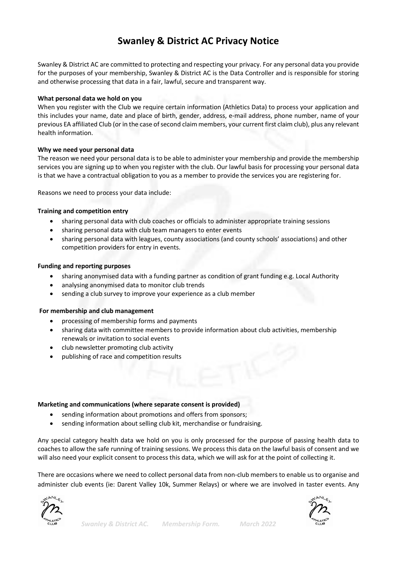## **Swanley & District AC Privacy Notice**

Swanley & District AC are committed to protecting and respecting your privacy. For any personal data you provide for the purposes of your membership, Swanley & District AC is the Data Controller and is responsible for storing and otherwise processing that data in a fair, lawful, secure and transparent way.

#### **What personal data we hold on you**

When you register with the Club we require certain information (Athletics Data) to process your application and this includes your name, date and place of birth, gender, address, e-mail address, phone number, name of your previous EA affiliated Club (or in the case of second claim members, your current first claim club), plus any relevant health information.

### **Why we need your personal data**

The reason we need your personal data is to be able to administer your membership and provide the membership services you are signing up to when you register with the club. Our lawful basis for processing your personal data is that we have a contractual obligation to you as a member to provide the services you are registering for.

Reasons we need to process your data include:

### **Training and competition entry**

- sharing personal data with club coaches or officials to administer appropriate training sessions
- sharing personal data with club team managers to enter events
- sharing personal data with leagues, county associations (and county schools' associations) and other competition providers for entry in events.

### **Funding and reporting purposes**

- sharing anonymised data with a funding partner as condition of grant funding e.g. Local Authority
- analysing anonymised data to monitor club trends
- sending a club survey to improve your experience as a club member

#### **For membership and club management**

- processing of membership forms and payments
- sharing data with committee members to provide information about club activities, membership renewals or invitation to social events
- club newsletter promoting club activity
- publishing of race and competition results

#### **Marketing and communications (where separate consent is provided)**

- sending information about promotions and offers from sponsors;
- sending information about selling club kit, merchandise or fundraising.

Any special category health data we hold on you is only processed for the purpose of passing health data to coaches to allow the safe running of training sessions. We process this data on the lawful basis of consent and we will also need your explicit consent to process this data, which we will ask for at the point of collecting it.

There are occasions where we need to collect personal data from non-club members to enable us to organise and administer club events (ie: Darent Valley 10k, Summer Relays) or where we are involved in taster events. Any